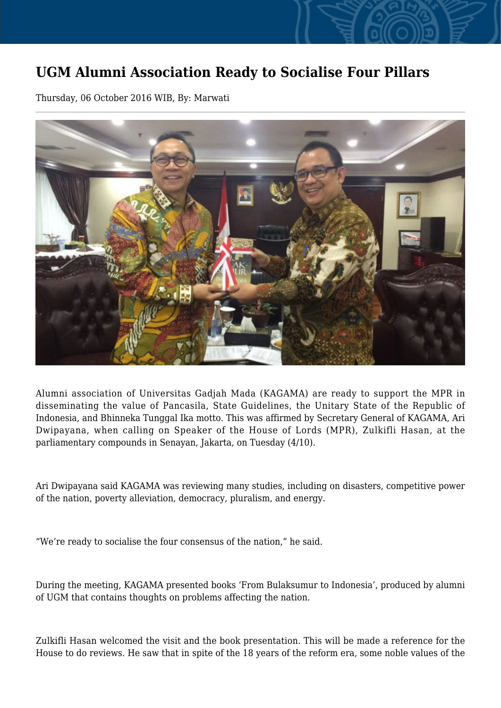## **UGM Alumni Association Ready to Socialise Four Pillars**

Thursday, 06 October 2016 WIB, By: Marwati



Alumni association of Universitas Gadjah Mada (KAGAMA) are ready to support the MPR in disseminating the value of Pancasila, State Guidelines, the Unitary State of the Republic of Indonesia, and Bhinneka Tunggal Ika motto. This was affirmed by Secretary General of KAGAMA, Ari Dwipayana, when calling on Speaker of the House of Lords (MPR), Zulkifli Hasan, at the parliamentary compounds in Senayan, Jakarta, on Tuesday (4/10).

Ari Dwipayana said KAGAMA was reviewing many studies, including on disasters, competitive power of the nation, poverty alleviation, democracy, pluralism, and energy.

"We're ready to socialise the four consensus of the nation," he said.

During the meeting, KAGAMA presented books 'From Bulaksumur to Indonesia', produced by alumni of UGM that contains thoughts on problems affecting the nation.

Zulkifli Hasan welcomed the visit and the book presentation. This will be made a reference for the House to do reviews. He saw that in spite of the 18 years of the reform era, some noble values of the